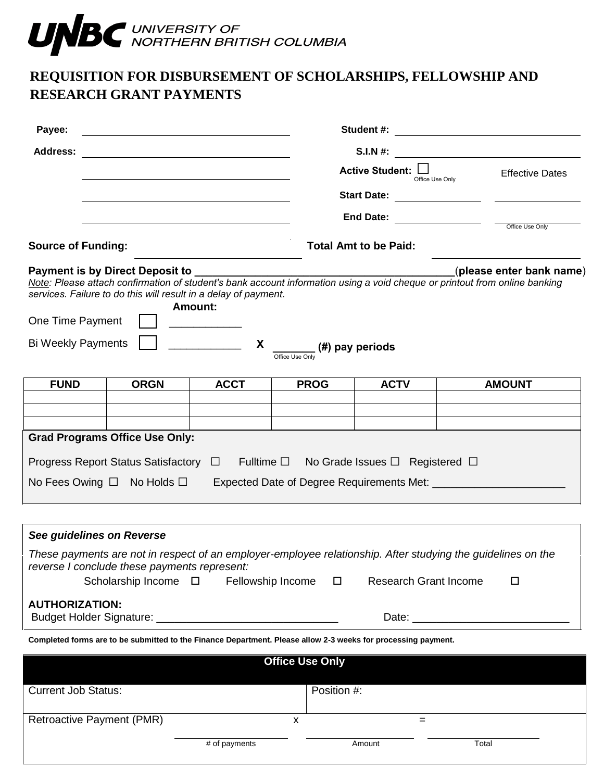

## **REQUISITION FOR DISBURSEMENT OF SCHOLARSHIPS, FELLOWSHIP AND RESEARCH GRANT PAYMENTS**

| Payee:                                                                                              |                                              |                                                                                                               |                                                  |                                           |                                                                                                                   |  |
|-----------------------------------------------------------------------------------------------------|----------------------------------------------|---------------------------------------------------------------------------------------------------------------|--------------------------------------------------|-------------------------------------------|-------------------------------------------------------------------------------------------------------------------|--|
| <b>Address:</b>                                                                                     |                                              |                                                                                                               |                                                  | S.I.N #: $\qquad \qquad$                  |                                                                                                                   |  |
|                                                                                                     |                                              |                                                                                                               |                                                  | Active Student: $\Box$<br>Office Use Only |                                                                                                                   |  |
|                                                                                                     |                                              |                                                                                                               |                                                  |                                           |                                                                                                                   |  |
|                                                                                                     |                                              |                                                                                                               |                                                  |                                           |                                                                                                                   |  |
| <b>Source of Funding:</b>                                                                           |                                              |                                                                                                               |                                                  | <b>Total Amt to be Paid:</b>              |                                                                                                                   |  |
| One Time Payment<br><b>Bi Weekly Payments</b>                                                       |                                              | services. Failure to do this will result in a delay of payment.<br>Amount:<br>X                               | $\frac{1}{1}$ (#) pay periods<br>Office Use Only |                                           |                                                                                                                   |  |
| <b>FUND</b>                                                                                         | <b>ORGN</b>                                  | <b>ACCT</b>                                                                                                   | <b>PROG</b>                                      | <b>ACTV</b>                               | <b>AMOUNT</b>                                                                                                     |  |
|                                                                                                     |                                              |                                                                                                               |                                                  |                                           |                                                                                                                   |  |
|                                                                                                     |                                              |                                                                                                               |                                                  |                                           |                                                                                                                   |  |
| <b>Grad Programs Office Use Only:</b>                                                               |                                              |                                                                                                               |                                                  |                                           |                                                                                                                   |  |
| Progress Report Status Satisfactory $\Box$ Fulltime $\Box$ No Grade Issues $\Box$ Registered $\Box$ |                                              |                                                                                                               |                                                  |                                           |                                                                                                                   |  |
| No Fees Owing $\Box$ No Holds $\Box$ Expected Date of Degree Requirements Met: $\Box$               |                                              |                                                                                                               |                                                  |                                           |                                                                                                                   |  |
|                                                                                                     |                                              |                                                                                                               |                                                  |                                           |                                                                                                                   |  |
| See guidelines on Reverse                                                                           |                                              |                                                                                                               |                                                  |                                           |                                                                                                                   |  |
|                                                                                                     | reverse I conclude these payments represent: | Scholarship Income □ Fellowship Income                                                                        | $\Box$                                           | <b>Research Grant Income</b>              | These payments are not in respect of an employer-employee relationship. After studying the guidelines on the<br>□ |  |
| <b>AUTHORIZATION:</b>                                                                               |                                              |                                                                                                               |                                                  |                                           |                                                                                                                   |  |
|                                                                                                     |                                              | Completed forms are to be submitted to the Finance Department. Please allow 2-3 weeks for processing payment. |                                                  |                                           |                                                                                                                   |  |
|                                                                                                     |                                              |                                                                                                               | <b>Office Use Only</b>                           |                                           |                                                                                                                   |  |
|                                                                                                     |                                              |                                                                                                               |                                                  |                                           |                                                                                                                   |  |
| <b>Current Job Status:</b>                                                                          |                                              |                                                                                                               | Position #:                                      |                                           |                                                                                                                   |  |
| <b>Retroactive Payment (PMR)</b>                                                                    |                                              |                                                                                                               | X                                                | $=$                                       |                                                                                                                   |  |
|                                                                                                     |                                              | # of payments                                                                                                 |                                                  | Amount                                    | Total                                                                                                             |  |